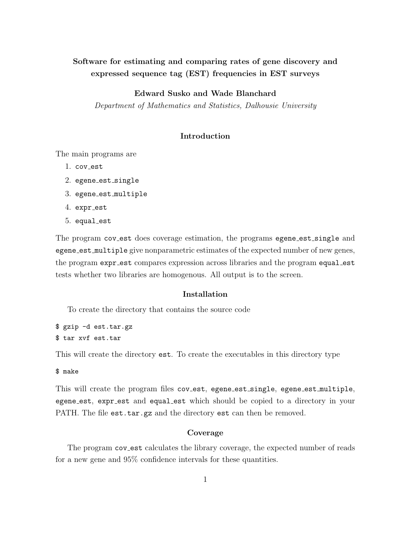# Software for estimating and comparing rates of gene discovery and expressed sequence tag (EST) frequencies in EST surveys

## Edward Susko and Wade Blanchard

Department of Mathematics and Statistics, Dalhousie University

### Introduction

The main programs are

- 1. cov est
- 2. egene\_est\_single
- 3. egene est multiple
- 4. expr est
- 5. equal est

The program cov\_est does coverage estimation, the programs egene\_est\_single and egene est multiple give nonparametric estimates of the expected number of new genes, the program expr\_est compares expression across libraries and the program equal\_est tests whether two libraries are homogenous. All output is to the screen.

## Installation

To create the directory that contains the source code

\$ gzip -d est.tar.gz \$ tar xvf est.tar

This will create the directory est. To create the executables in this directory type

\$ make

This will create the program files cov\_est, egene\_est\_single, egene\_est\_multiple, egene est, expr est and equal est which should be copied to a directory in your PATH. The file est.tar.gz and the directory est can then be removed.

## Coverage

The program cov est calculates the library coverage, the expected number of reads for a new gene and 95% confidence intervals for these quantities.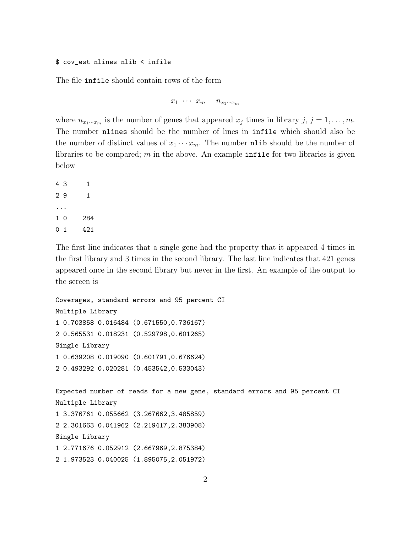#### \$ cov\_est nlines nlib < infile

The file infile should contain rows of the form

$$
x_1 \cdots x_m \qquad n_{x_1 \cdots x_m}
$$

where  $n_{x_1\cdots x_m}$  is the number of genes that appeared  $x_j$  times in library  $j, j = 1, \ldots, m$ . The number nlines should be the number of lines in infile which should also be the number of distinct values of  $x_1 \cdots x_m$ . The number nlib should be the number of libraries to be compared; m in the above. An example infile for two libraries is given below

The first line indicates that a single gene had the property that it appeared 4 times in the first library and 3 times in the second library. The last line indicates that 421 genes appeared once in the second library but never in the first. An example of the output to the screen is

```
Coverages, standard errors and 95 percent CI
Multiple Library
1 0.703858 0.016484 (0.671550,0.736167)
2 0.565531 0.018231 (0.529798,0.601265)
Single Library
1 0.639208 0.019090 (0.601791,0.676624)
2 0.493292 0.020281 (0.453542,0.533043)
Expected number of reads for a new gene, standard errors and 95 percent CI
Multiple Library
1 3.376761 0.055662 (3.267662,3.485859)
2 2.301663 0.041962 (2.219417,2.383908)
Single Library
1 2.771676 0.052912 (2.667969,2.875384)
2 1.973523 0.040025 (1.895075,2.051972)
```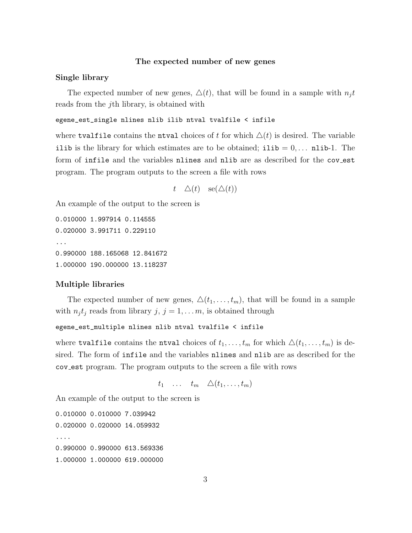#### The expected number of new genes

#### Single library

The expected number of new genes,  $\Delta(t)$ , that will be found in a sample with  $n_i t$ reads from the jth library, is obtained with

#### egene\_est\_single nlines nlib ilib ntval tvalfile < infile

where tvalfile contains the ntval choices of t for which  $\Delta(t)$  is desired. The variable ilib is the library for which estimates are to be obtained; ilib =  $0, \ldots$  nlib-1. The form of infile and the variables nlines and nlib are as described for the coverst program. The program outputs to the screen a file with rows

$$
t \quad \Delta(t) \quad \text{se}(\Delta(t))
$$

An example of the output to the screen is

0.010000 1.997914 0.114555 0.020000 3.991711 0.229110 ... 0.990000 188.165068 12.841672 1.000000 190.000000 13.118237

#### Multiple libraries

The expected number of new genes,  $\Delta(t_1, \ldots, t_m)$ , that will be found in a sample with  $n_j t_j$  reads from library  $j, j = 1, \ldots m$ , is obtained through

#### egene\_est\_multiple nlines nlib ntval tvalfile < infile

where tvalfile contains the ntval choices of  $t_1, \ldots, t_m$  for which  $\Delta(t_1, \ldots, t_m)$  is desired. The form of infile and the variables nlines and nlib are as described for the cov est program. The program outputs to the screen a file with rows

$$
t_1 \quad \ldots \quad t_m \quad \triangle(t_1, \ldots, t_m)
$$

An example of the output to the screen is

0.010000 0.010000 7.039942 0.020000 0.020000 14.059932 .... 0.990000 0.990000 613.569336 1.000000 1.000000 619.000000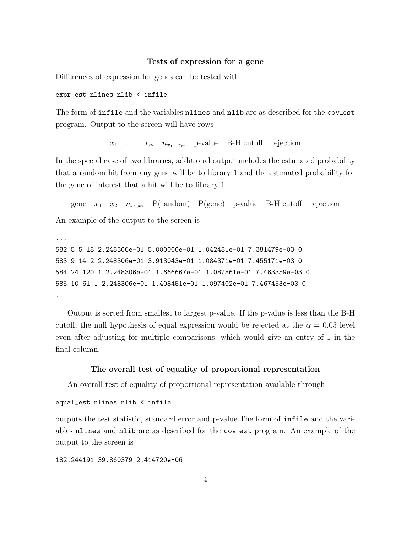#### Tests of expression for a gene

Differences of expression for genes can be tested with

expr\_est nlines nlib < infile

The form of infile and the variables nlines and nlib are as described for the coverst program. Output to the screen will have rows

 $x_1 \ldots x_m \quad n_{x_1 \ldots x_m}$  p-value B-H cutoff rejection

In the special case of two libraries, additional output includes the estimated probability that a random hit from any gene will be to library 1 and the estimated probability for the gene of interest that a hit will be to library 1.

gene  $x_1$   $x_2$   $n_{x_1,x_2}$  P(random) P(gene) p-value B-H cutoff rejection

An example of the output to the screen is

```
...
582 5 5 18 2.248306e-01 5.000000e-01 1.042481e-01 7.381479e-03 0
583 9 14 2 2.248306e-01 3.913043e-01 1.084371e-01 7.455171e-03 0
584 24 120 1 2.248306e-01 1.666667e-01 1.087861e-01 7.463359e-03 0
585 10 61 1 2.248306e-01 1.408451e-01 1.097402e-01 7.467453e-03 0
...
```
Output is sorted from smallest to largest p-value. If the p-value is less than the B-H cutoff, the null hypothesis of equal expression would be rejected at the  $\alpha = 0.05$  level even after adjusting for multiple comparisons, which would give an entry of 1 in the final column.

#### The overall test of equality of proportional representation

An overall test of equality of proportional representation available through

```
equal_est nlines nlib < infile
```
outputs the test statistic, standard error and p-value.The form of infile and the variables nlines and nlib are as described for the cov est program. An example of the output to the screen is

182.244191 39.860379 2.414720e-06